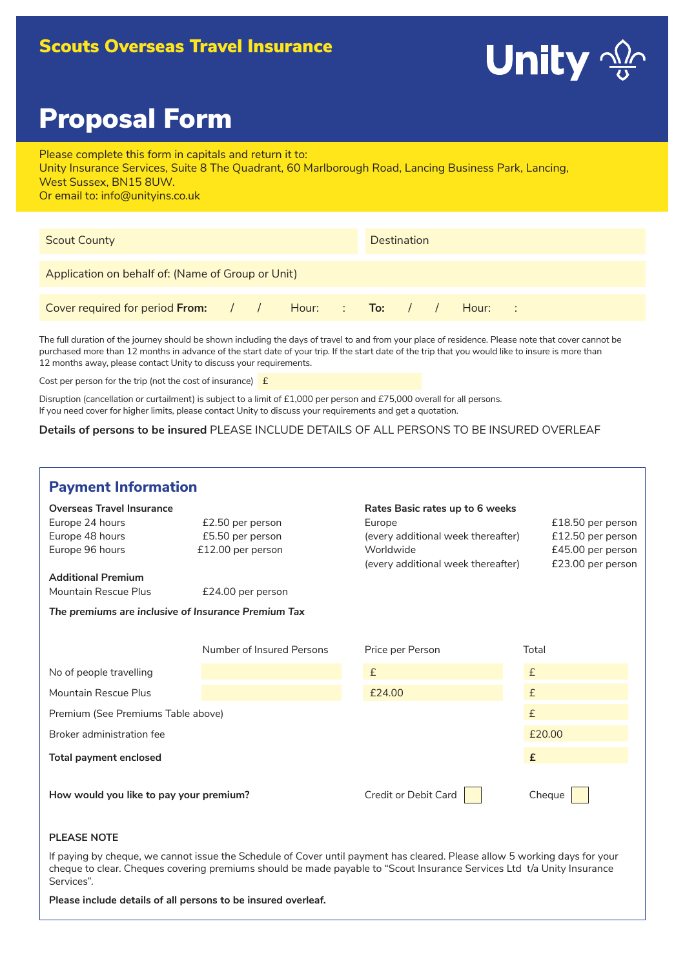# Scouts Overseas Travel Insurance



# Proposal Form

Please complete this form in capitals and return it to: Unity Insurance Services, Suite 8 The Quadrant, 60 Marlborough Road, Lancing Business Park, Lancing, West Sussex, BN15 8UW. Or email to: info@unityins.co.uk

| <b>Scout County</b>                                         |  |  |  | <b>Destination</b> |  |  |  |  |  |  |  |  |
|-------------------------------------------------------------|--|--|--|--------------------|--|--|--|--|--|--|--|--|
| Application on behalf of: (Name of Group or Unit)           |  |  |  |                    |  |  |  |  |  |  |  |  |
| Cover required for period From: / / Hour: : To: / / Hour: : |  |  |  |                    |  |  |  |  |  |  |  |  |

The full duration of the journey should be shown including the days of travel to and from your place of residence. Please note that cover cannot be purchased more than 12 months in advance of the start date of your trip. If the start date of the trip that you would like to insure is more than 12 months away, please contact Unity to discuss your requirements.

Cost per person for the trip (not the cost of insurance)  $E$ 

Disruption (cancellation or curtailment) is subject to a limit of £1,000 per person and £75,000 overall for all persons. If you need cover for higher limits, please contact Unity to discuss your requirements and get a quotation.

**Details of persons to be insured** PLEASE INCLUDE DETAILS OF ALL PERSONS TO BE INSURED OVERLEAF

| <b>Payment Information</b>                                                                                                                                                                            |                                                                                |                                                                                                                                    |                                                                                  |  |  |  |  |
|-------------------------------------------------------------------------------------------------------------------------------------------------------------------------------------------------------|--------------------------------------------------------------------------------|------------------------------------------------------------------------------------------------------------------------------------|----------------------------------------------------------------------------------|--|--|--|--|
| <b>Overseas Travel Insurance</b><br>Europe 24 hours<br>Europe 48 hours<br>Europe 96 hours<br><b>Additional Premium</b><br>Mountain Rescue Plus<br>The premiums are inclusive of Insurance Premium Tax | £2.50 per person<br>£5.50 per person<br>£12.00 per person<br>£24.00 per person | Rates Basic rates up to 6 weeks<br>Europe<br>(every additional week thereafter)<br>Worldwide<br>(every additional week thereafter) | £18.50 per person<br>£12.50 per person<br>£45.00 per person<br>£23.00 per person |  |  |  |  |
|                                                                                                                                                                                                       | Number of Insured Persons                                                      | Price per Person                                                                                                                   | Total                                                                            |  |  |  |  |
| No of people travelling                                                                                                                                                                               |                                                                                | £                                                                                                                                  | $\pounds$                                                                        |  |  |  |  |
| Mountain Rescue Plus                                                                                                                                                                                  |                                                                                | £24.00                                                                                                                             | £                                                                                |  |  |  |  |
| Premium (See Premiums Table above)                                                                                                                                                                    |                                                                                |                                                                                                                                    | $\pounds$                                                                        |  |  |  |  |
| Broker administration fee                                                                                                                                                                             |                                                                                |                                                                                                                                    | £20.00                                                                           |  |  |  |  |
| <b>Total payment enclosed</b>                                                                                                                                                                         |                                                                                |                                                                                                                                    | £                                                                                |  |  |  |  |
| How would you like to pay your premium?                                                                                                                                                               |                                                                                | Credit or Debit Card                                                                                                               | Cheque                                                                           |  |  |  |  |

# **PLEASE NOTE**

If paying by cheque, we cannot issue the Schedule of Cover until payment has cleared. Please allow 5 working days for your cheque to clear. Cheques covering premiums should be made payable to "Scout Insurance Services Ltd t/a Unity Insurance Services".

**Please include details of all persons to be insured overleaf.**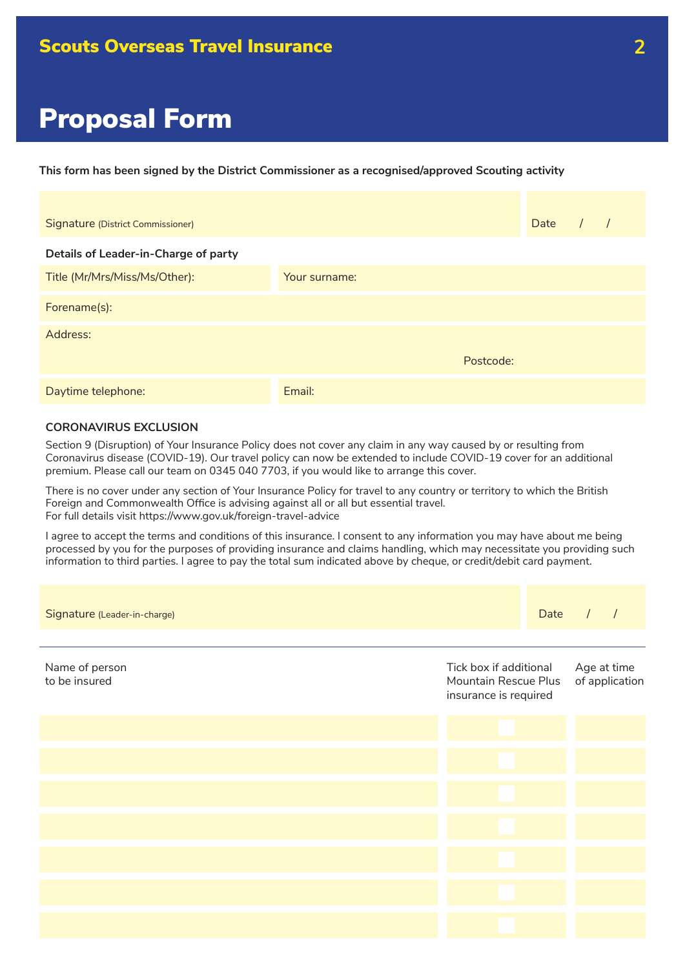**This form has been signed by the District Commissioner as a recognised/approved Scouting activity**

| Signature (District Commissioner)    |               |           | Date | $\sqrt{ }$ |
|--------------------------------------|---------------|-----------|------|------------|
| Details of Leader-in-Charge of party |               |           |      |            |
| Title (Mr/Mrs/Miss/Ms/Other):        | Your surname: |           |      |            |
| Forename(s):                         |               |           |      |            |
| Address:                             |               |           |      |            |
|                                      |               | Postcode: |      |            |
| Daytime telephone:                   | Email:        |           |      |            |

# **CORONAVIRUS EXCLUSION**

Section 9 (Disruption) of Your Insurance Policy does not cover any claim in any way caused by or resulting from Coronavirus disease (COVID-19). Our travel policy can now be extended to include COVID-19 cover for an additional premium. Please call our team on 0345 040 7703, if you would like to arrange this cover.

There is no cover under any section of Your Insurance Policy for travel to any country or territory to which the British Foreign and Commonwealth Office is advising against all or all but essential travel. For full details visit https://www.gov.uk/foreign-travel-advice

I agree to accept the terms and conditions of this insurance. I consent to any information you may have about me being processed by you for the purposes of providing insurance and claims handling, which may necessitate you providing such information to third parties. I agree to pay the total sum indicated above by cheque, or credit/debit card payment.

| Signature (Leader-in-charge)    |                                                                         | Date                          | $\prime$ | $\sqrt{ }$ |
|---------------------------------|-------------------------------------------------------------------------|-------------------------------|----------|------------|
| Name of person<br>to be insured | Tick box if additional<br>Mountain Rescue Plus<br>insurance is required | Age at time<br>of application |          |            |
|                                 |                                                                         |                               |          |            |
|                                 |                                                                         |                               |          |            |
|                                 |                                                                         |                               |          |            |
|                                 |                                                                         |                               |          |            |
|                                 |                                                                         |                               |          |            |
|                                 |                                                                         |                               |          |            |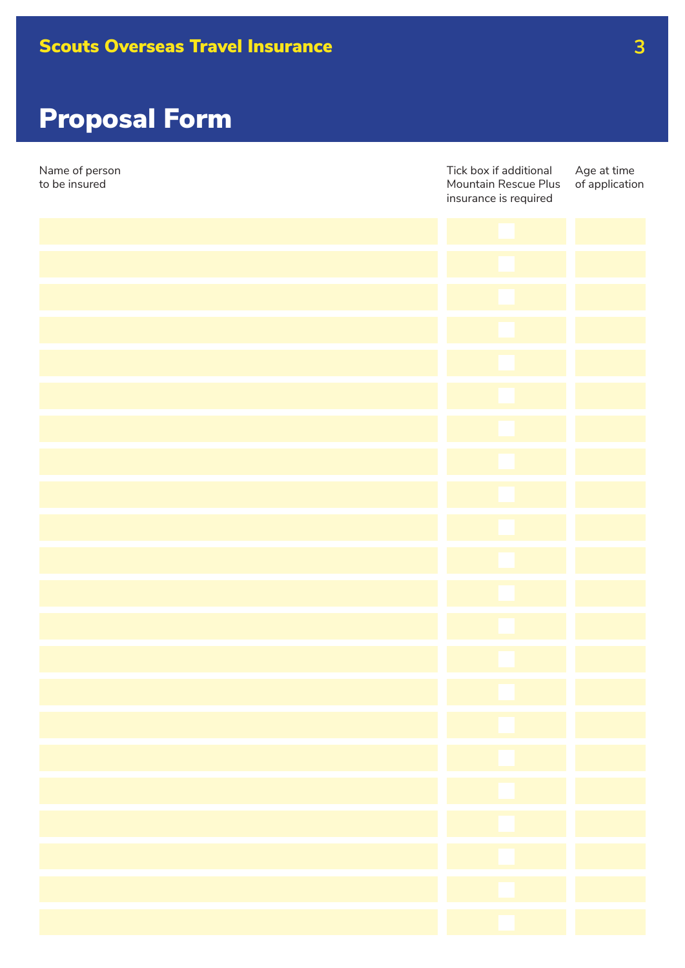| Name of person<br>to be insured | Tick box if additional<br>Mountain Rescue Plus<br>insurance is required | Age at time<br>of application |  |
|---------------------------------|-------------------------------------------------------------------------|-------------------------------|--|
|                                 |                                                                         |                               |  |
|                                 |                                                                         |                               |  |
|                                 |                                                                         |                               |  |
|                                 |                                                                         |                               |  |
|                                 |                                                                         |                               |  |
|                                 |                                                                         |                               |  |
|                                 |                                                                         |                               |  |
|                                 |                                                                         |                               |  |
|                                 |                                                                         |                               |  |
|                                 |                                                                         |                               |  |
|                                 |                                                                         |                               |  |
|                                 |                                                                         |                               |  |
|                                 |                                                                         |                               |  |
|                                 |                                                                         |                               |  |
|                                 |                                                                         |                               |  |
|                                 |                                                                         |                               |  |
|                                 |                                                                         |                               |  |
|                                 |                                                                         |                               |  |
|                                 |                                                                         |                               |  |
|                                 |                                                                         |                               |  |
|                                 |                                                                         |                               |  |
|                                 |                                                                         |                               |  |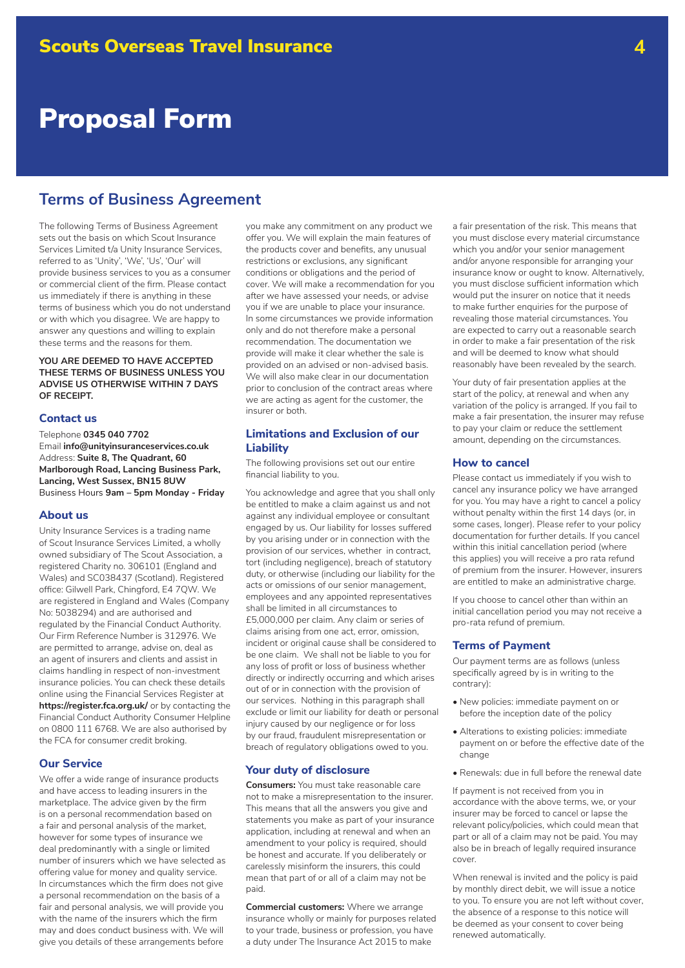# **Terms of Business Agreement**

The following Terms of Business Agreement sets out the basis on which Scout Insurance Services Limited t/a Unity Insurance Services, referred to as 'Unity', 'We', 'Us', 'Our' will provide business services to you as a consumer or commercial client of the firm. Please contact us immediately if there is anything in these terms of business which you do not understand or with which you disagree. We are happy to answer any questions and willing to explain these terms and the reasons for them.

### **YOU ARE DEEMED TO HAVE ACCEPTED THESE TERMS OF BUSINESS UNLESS YOU ADVISE US OTHERWISE WITHIN 7 DAYS OF RECEIPT.**

#### **Contact us**

Telephone **0345 040 7702** Email **info@unityinsuranceservices.co.uk** Address: **Suite 8, The Quadrant, 60 Marlborough Road, Lancing Business Park, Lancing, West Sussex, BN15 8UW**  Business Hours **9am – 5pm Monday - Friday**

#### **About us**

Unity Insurance Services is a trading name of Scout Insurance Services Limited, a wholly owned subsidiary of The Scout Association, a registered Charity no. 306101 (England and Wales) and SC038437 (Scotland). Registered office: Gilwell Park, Chingford, E4 7QW. We are registered in England and Wales (Company No: 5038294) and are authorised and regulated by the Financial Conduct Authority. Our Firm Reference Number is 312976. We are permitted to arrange, advise on, deal as an agent of insurers and clients and assist in claims handling in respect of non-investment insurance policies. You can check these details online using the Financial Services Register at **https://register.fca.org.uk/** or by contacting the Financial Conduct Authority Consumer Helpline on 0800 111 6768. We are also authorised by the FCA for consumer credit broking.

## **Our Service**

We offer a wide range of insurance products and have access to leading insurers in the marketplace. The advice given by the firm is on a personal recommendation based on a fair and personal analysis of the market, however for some types of insurance we deal predominantly with a single or limited number of insurers which we have selected as offering value for money and quality service. In circumstances which the firm does not give a personal recommendation on the basis of a fair and personal analysis, we will provide you with the name of the insurers which the firm may and does conduct business with. We will give you details of these arrangements before

you make any commitment on any product we offer you. We will explain the main features of the products cover and benefits, any unusual restrictions or exclusions, any significant conditions or obligations and the period of cover. We will make a recommendation for you after we have assessed your needs, or advise you if we are unable to place your insurance. In some circumstances we provide information only and do not therefore make a personal recommendation. The documentation we provide will make it clear whether the sale is provided on an advised or non-advised basis. We will also make clear in our documentation prior to conclusion of the contract areas where we are acting as agent for the customer, the insurer or both.

# **Limitations and Exclusion of our Liability**

The following provisions set out our entire financial liability to you.

You acknowledge and agree that you shall only be entitled to make a claim against us and not against any individual employee or consultant engaged by us. Our liability for losses suffered by you arising under or in connection with the provision of our services, whether in contract, tort (including negligence), breach of statutory duty, or otherwise (including our liability for the acts or omissions of our senior management, employees and any appointed representatives shall be limited in all circumstances to £5,000,000 per claim. Any claim or series of claims arising from one act, error, omission, incident or original cause shall be considered to be one claim. We shall not be liable to you for any loss of profit or loss of business whether directly or indirectly occurring and which arises out of or in connection with the provision of our services. Nothing in this paragraph shall exclude or limit our liability for death or personal injury caused by our negligence or for loss by our fraud, fraudulent misrepresentation or breach of regulatory obligations owed to you.

#### **Your duty of disclosure**

**Consumers:** You must take reasonable care not to make a misrepresentation to the insurer. This means that all the answers you give and statements you make as part of your insurance application, including at renewal and when an amendment to your policy is required, should be honest and accurate. If you deliberately or carelessly misinform the insurers, this could mean that part of or all of a claim may not be paid.

**Commercial customers:** Where we arrange insurance wholly or mainly for purposes related to your trade, business or profession, you have a duty under The Insurance Act 2015 to make

a fair presentation of the risk. This means that you must disclose every material circumstance which you and/or your senior management and/or anyone responsible for arranging your insurance know or ought to know. Alternatively, you must disclose sufficient information which would put the insurer on notice that it needs to make further enquiries for the purpose of revealing those material circumstances. You are expected to carry out a reasonable search in order to make a fair presentation of the risk and will be deemed to know what should reasonably have been revealed by the search.

Your duty of fair presentation applies at the start of the policy, at renewal and when any variation of the policy is arranged. If you fail to make a fair presentation, the insurer may refuse to pay your claim or reduce the settlement amount, depending on the circumstances.

#### **How to cancel**

Please contact us immediately if you wish to cancel any insurance policy we have arranged for you. You may have a right to cancel a policy without penalty within the first 14 days (or, in some cases, longer). Please refer to your policy documentation for further details. If you cancel within this initial cancellation period (where this applies) you will receive a pro rata refund of premium from the insurer. However, insurers are entitled to make an administrative charge.

If you choose to cancel other than within an initial cancellation period you may not receive a pro-rata refund of premium.

#### **Terms of Payment**

Our payment terms are as follows (unless specifically agreed by is in writing to the contrary):

- New policies: immediate payment on or before the inception date of the policy
- Alterations to existing policies: immediate payment on or before the effective date of the change
- Renewals: due in full before the renewal date

If payment is not received from you in accordance with the above terms, we, or your insurer may be forced to cancel or lapse the relevant policy/policies, which could mean that part or all of a claim may not be paid. You may also be in breach of legally required insurance cover.

When renewal is invited and the policy is paid by monthly direct debit, we will issue a notice to you. To ensure you are not left without cover, the absence of a response to this notice will be deemed as your consent to cover being renewed automatically.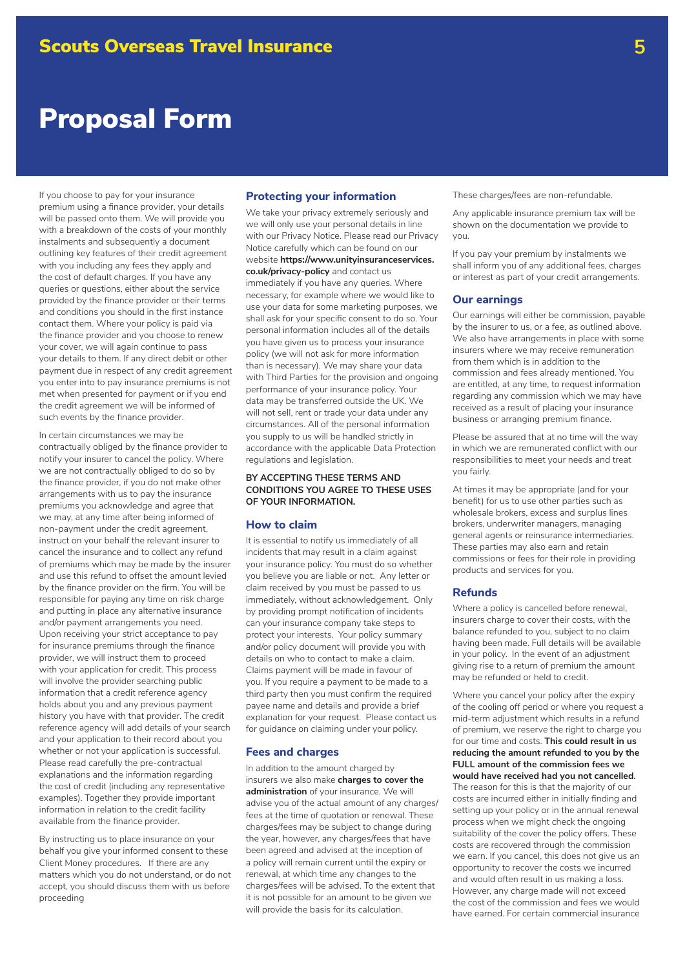If you choose to pay for your insurance premium using a finance provider, your details will be passed onto them. We will provide you with a breakdown of the costs of your monthly instalments and subsequently a document outlining key features of their credit agreement with you including any fees they apply and the cost of default charges. If you have any queries or questions, either about the service provided by the finance provider or their terms and conditions you should in the first instance contact them. Where your policy is paid via the finance provider and you choose to renew your cover, we will again continue to pass your details to them. If any direct debit or other payment due in respect of any credit agreement you enter into to pay insurance premiums is not met when presented for payment or if you end the credit agreement we will be informed of such events by the finance provider.

In certain circumstances we may be contractually obliged by the finance provider to notify your insurer to cancel the policy. Where we are not contractually obliged to do so by the finance provider, if you do not make other arrangements with us to pay the insurance premiums you acknowledge and agree that we may, at any time after being informed of non-payment under the credit agreement, instruct on your behalf the relevant insurer to cancel the insurance and to collect any refund of premiums which may be made by the insurer and use this refund to offset the amount levied by the finance provider on the firm. You will be responsible for paying any time on risk charge and putting in place any alternative insurance and/or payment arrangements you need. Upon receiving your strict acceptance to pay for insurance premiums through the finance provider, we will instruct them to proceed with your application for credit. This process will involve the provider searching public information that a credit reference agency holds about you and any previous payment history you have with that provider. The credit reference agency will add details of your search and your application to their record about you whether or not your application is successful. Please read carefully the pre-contractual explanations and the information regarding the cost of credit (including any representative examples). Together they provide important information in relation to the credit facility available from the finance provider.

By instructing us to place insurance on your behalf you give your informed consent to these Client Money procedures. If there are any matters which you do not understand, or do not accept, you should discuss them with us before proceeding

# **Protecting your information**

We take your privacy extremely seriously and we will only use your personal details in line with our Privacy Notice. Please read our Privacy Notice carefully which can be found on our website **https://www.unityinsuranceservices. co.uk/privacy-policy** and contact us immediately if you have any queries. Where necessary, for example where we would like to use your data for some marketing purposes, we shall ask for your specific consent to do so. Your personal information includes all of the details you have given us to process your insurance policy (we will not ask for more information than is necessary). We may share your data with Third Parties for the provision and ongoing performance of your insurance policy. Your data may be transferred outside the UK. We will not sell, rent or trade your data under any circumstances. All of the personal information you supply to us will be handled strictly in accordance with the applicable Data Protection regulations and legislation.

### **BY ACCEPTING THESE TERMS AND CONDITIONS YOU AGREE TO THESE USES OF YOUR INFORMATION.**

#### **How to claim**

It is essential to notify us immediately of all incidents that may result in a claim against your insurance policy. You must do so whether you believe you are liable or not. Any letter or claim received by you must be passed to us immediately, without acknowledgement. Only by providing prompt notification of incidents can your insurance company take steps to protect your interests. Your policy summary and/or policy document will provide you with details on who to contact to make a claim. Claims payment will be made in favour of you. If you require a payment to be made to a third party then you must confirm the required payee name and details and provide a brief explanation for your request. Please contact us for guidance on claiming under your policy.

#### **Fees and charges**

In addition to the amount charged by insurers we also make **charges to cover the administration** of your insurance. We will advise you of the actual amount of any charges/ fees at the time of quotation or renewal. These charges/fees may be subject to change during the year, however, any charges/fees that have been agreed and advised at the inception of a policy will remain current until the expiry or renewal, at which time any changes to the charges/fees will be advised. To the extent that it is not possible for an amount to be given we will provide the basis for its calculation.

These charges/fees are non-refundable.

Any applicable insurance premium tax will be shown on the documentation we provide to you.

If you pay your premium by instalments we shall inform you of any additional fees, charges or interest as part of your credit arrangements.

#### **Our earnings**

Our earnings will either be commission, payable by the insurer to us, or a fee, as outlined above. We also have arrangements in place with some insurers where we may receive remuneration from them which is in addition to the commission and fees already mentioned. You are entitled, at any time, to request information regarding any commission which we may have received as a result of placing your insurance business or arranging premium finance.

Please be assured that at no time will the way in which we are remunerated conflict with our responsibilities to meet your needs and treat you fairly.

At times it may be appropriate (and for your benefit) for us to use other parties such as wholesale brokers, excess and surplus lines brokers, underwriter managers, managing general agents or reinsurance intermediaries. These parties may also earn and retain commissions or fees for their role in providing products and services for you.

#### **Refunds**

Where a policy is cancelled before renewal, insurers charge to cover their costs, with the balance refunded to you, subject to no claim having been made. Full details will be available in your policy. In the event of an adjustment giving rise to a return of premium the amount may be refunded or held to credit.

Where you cancel your policy after the expiry of the cooling off period or where you request a mid-term adjustment which results in a refund of premium, we reserve the right to charge you for our time and costs. **This could result in us reducing the amount refunded to you by the FULL amount of the commission fees we would have received had you not cancelled.**  The reason for this is that the majority of our costs are incurred either in initially finding and setting up your policy or in the annual renewal process when we might check the ongoing suitability of the cover the policy offers. These costs are recovered through the commission we earn. If you cancel, this does not give us an opportunity to recover the costs we incurred and would often result in us making a loss. However, any charge made will not exceed the cost of the commission and fees we would have earned. For certain commercial insurance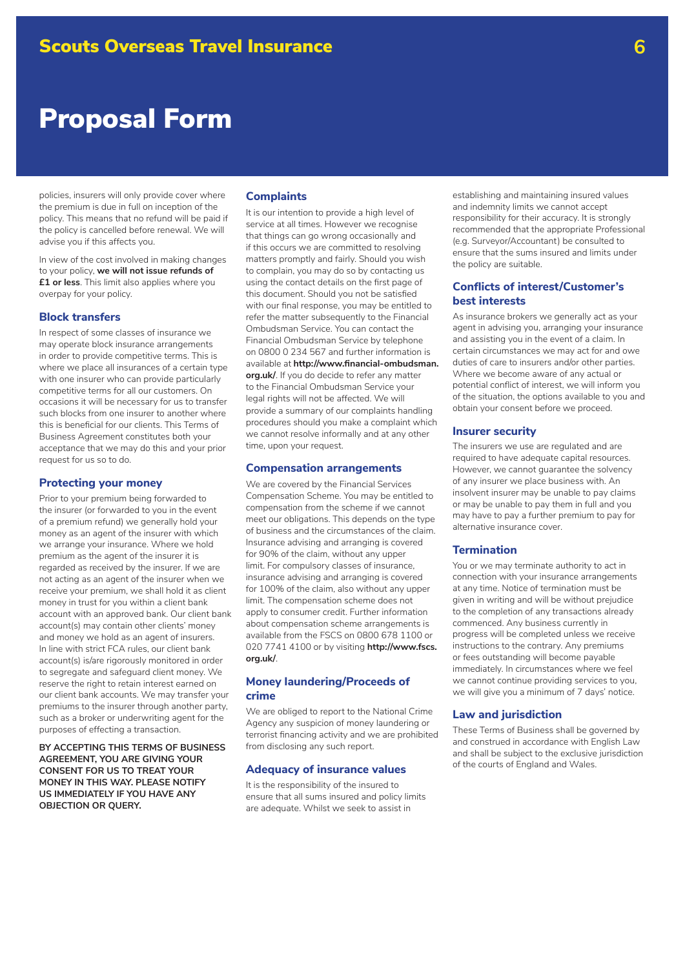policies, insurers will only provide cover where the premium is due in full on inception of the policy. This means that no refund will be paid if the policy is cancelled before renewal. We will advise you if this affects you.

In view of the cost involved in making changes to your policy, **we will not issue refunds of £1 or less**. This limit also applies where you overpay for your policy.

### **Block transfers**

In respect of some classes of insurance we may operate block insurance arrangements in order to provide competitive terms. This is where we place all insurances of a certain type with one insurer who can provide particularly competitive terms for all our customers. On occasions it will be necessary for us to transfer such blocks from one insurer to another where this is beneficial for our clients. This Terms of Business Agreement constitutes both your acceptance that we may do this and your prior request for us so to do.

### **Protecting your money**

Prior to your premium being forwarded to the insurer (or forwarded to you in the event of a premium refund) we generally hold your money as an agent of the insurer with which we arrange your insurance. Where we hold premium as the agent of the insurer it is regarded as received by the insurer. If we are not acting as an agent of the insurer when we receive your premium, we shall hold it as client money in trust for you within a client bank account with an approved bank. Our client bank account(s) may contain other clients' money and money we hold as an agent of insurers. In line with strict FCA rules, our client bank account(s) is/are rigorously monitored in order to segregate and safeguard client money. We reserve the right to retain interest earned on our client bank accounts. We may transfer your premiums to the insurer through another party, such as a broker or underwriting agent for the purposes of effecting a transaction.

**BY ACCEPTING THIS TERMS OF BUSINESS AGREEMENT, YOU ARE GIVING YOUR CONSENT FOR US TO TREAT YOUR MONEY IN THIS WAY. PLEASE NOTIFY US IMMEDIATELY IF YOU HAVE ANY OBJECTION OR QUERY.**

#### **Complaints**

It is our intention to provide a high level of service at all times. However we recognise that things can go wrong occasionally and if this occurs we are committed to resolving matters promptly and fairly. Should you wish to complain, you may do so by contacting us using the contact details on the first page of this document. Should you not be satisfied with our final response, you may be entitled to refer the matter subsequently to the Financial Ombudsman Service. You can contact the Financial Ombudsman Service by telephone on 0800 0 234 567 and further information is available at **http://www.financial-ombudsman. org.uk/**. If you do decide to refer any matter to the Financial Ombudsman Service your legal rights will not be affected. We will provide a summary of our complaints handling procedures should you make a complaint which we cannot resolve informally and at any other time, upon your request.

#### **Compensation arrangements**

We are covered by the Financial Services Compensation Scheme. You may be entitled to compensation from the scheme if we cannot meet our obligations. This depends on the type of business and the circumstances of the claim. Insurance advising and arranging is covered for 90% of the claim, without any upper limit. For compulsory classes of insurance, insurance advising and arranging is covered for 100% of the claim, also without any upper limit. The compensation scheme does not apply to consumer credit. Further information about compensation scheme arrangements is available from the FSCS on 0800 678 1100 or 020 7741 4100 or by visiting **http://www.fscs. org.uk/**.

# **Money laundering/Proceeds of crime**

We are obliged to report to the National Crime Agency any suspicion of money laundering or terrorist financing activity and we are prohibited from disclosing any such report.

#### **Adequacy of insurance values**

It is the responsibility of the insured to ensure that all sums insured and policy limits are adequate. Whilst we seek to assist in

establishing and maintaining insured values and indemnity limits we cannot accept responsibility for their accuracy. It is strongly recommended that the appropriate Professional (e.g. Surveyor/Accountant) be consulted to ensure that the sums insured and limits under the policy are suitable.

### **Conflicts of interest/Customer's best interests**

As insurance brokers we generally act as your agent in advising you, arranging your insurance and assisting you in the event of a claim. In certain circumstances we may act for and owe duties of care to insurers and/or other parties. Where we become aware of any actual or potential conflict of interest, we will inform you of the situation, the options available to you and obtain your consent before we proceed.

#### **Insurer security**

The insurers we use are regulated and are required to have adequate capital resources. However, we cannot guarantee the solvency of any insurer we place business with. An insolvent insurer may be unable to pay claims or may be unable to pay them in full and you may have to pay a further premium to pay for alternative insurance cover.

# **Termination**

You or we may terminate authority to act in connection with your insurance arrangements at any time. Notice of termination must be given in writing and will be without prejudice to the completion of any transactions already commenced. Any business currently in progress will be completed unless we receive instructions to the contrary. Any premiums or fees outstanding will become payable immediately. In circumstances where we feel we cannot continue providing services to you, we will give you a minimum of 7 days' notice.

#### **Law and jurisdiction**

These Terms of Business shall be governed by and construed in accordance with English Law and shall be subject to the exclusive jurisdiction of the courts of England and Wales.